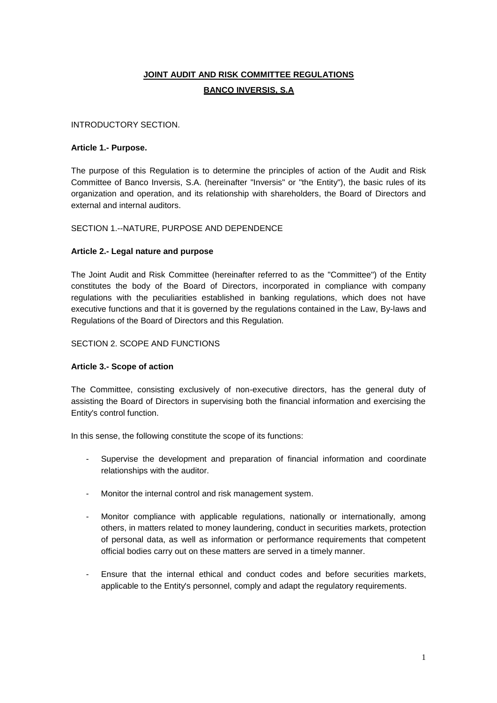# **JOINT AUDIT AND RISK COMMITTEE REGULATIONS BANCO INVERSIS, S.A**

# INTRODUCTORY SECTION.

#### **Article 1.- Purpose.**

The purpose of this Regulation is to determine the principles of action of the Audit and Risk Committee of Banco Inversis, S.A. (hereinafter "Inversis" or "the Entity"), the basic rules of its organization and operation, and its relationship with shareholders, the Board of Directors and external and internal auditors.

# SECTION 1.--NATURE, PURPOSE AND DEPENDENCE

# **Article 2.- Legal nature and purpose**

The Joint Audit and Risk Committee (hereinafter referred to as the "Committee") of the Entity constitutes the body of the Board of Directors, incorporated in compliance with company regulations with the peculiarities established in banking regulations, which does not have executive functions and that it is governed by the regulations contained in the Law, By-laws and Regulations of the Board of Directors and this Regulation.

# SECTION 2. SCOPE AND FUNCTIONS

#### **Article 3.- Scope of action**

The Committee, consisting exclusively of non-executive directors, has the general duty of assisting the Board of Directors in supervising both the financial information and exercising the Entity's control function.

In this sense, the following constitute the scope of its functions:

- Supervise the development and preparation of financial information and coordinate relationships with the auditor.
- Monitor the internal control and risk management system.
- Monitor compliance with applicable regulations, nationally or internationally, among others, in matters related to money laundering, conduct in securities markets, protection of personal data, as well as information or performance requirements that competent official bodies carry out on these matters are served in a timely manner.
- Ensure that the internal ethical and conduct codes and before securities markets, applicable to the Entity's personnel, comply and adapt the regulatory requirements.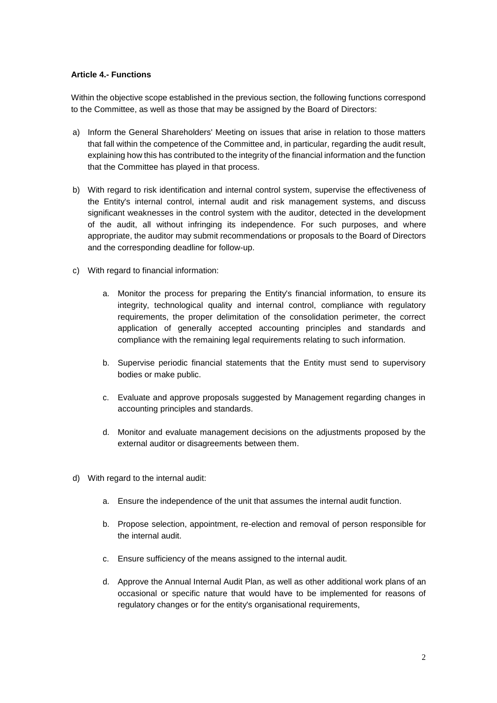#### **Article 4.- Functions**

Within the objective scope established in the previous section, the following functions correspond to the Committee, as well as those that may be assigned by the Board of Directors:

- a) Inform the General Shareholders' Meeting on issues that arise in relation to those matters that fall within the competence of the Committee and, in particular, regarding the audit result, explaining how this has contributed to the integrity of the financial information and the function that the Committee has played in that process.
- b) With regard to risk identification and internal control system, supervise the effectiveness of the Entity's internal control, internal audit and risk management systems, and discuss significant weaknesses in the control system with the auditor, detected in the development of the audit, all without infringing its independence. For such purposes, and where appropriate, the auditor may submit recommendations or proposals to the Board of Directors and the corresponding deadline for follow-up.
- c) With regard to financial information:
	- a. Monitor the process for preparing the Entity's financial information, to ensure its integrity, technological quality and internal control, compliance with regulatory requirements, the proper delimitation of the consolidation perimeter, the correct application of generally accepted accounting principles and standards and compliance with the remaining legal requirements relating to such information.
	- b. Supervise periodic financial statements that the Entity must send to supervisory bodies or make public.
	- c. Evaluate and approve proposals suggested by Management regarding changes in accounting principles and standards.
	- d. Monitor and evaluate management decisions on the adjustments proposed by the external auditor or disagreements between them.
- d) With regard to the internal audit:
	- a. Ensure the independence of the unit that assumes the internal audit function.
	- b. Propose selection, appointment, re-election and removal of person responsible for the internal audit.
	- c. Ensure sufficiency of the means assigned to the internal audit.
	- d. Approve the Annual Internal Audit Plan, as well as other additional work plans of an occasional or specific nature that would have to be implemented for reasons of regulatory changes or for the entity's organisational requirements,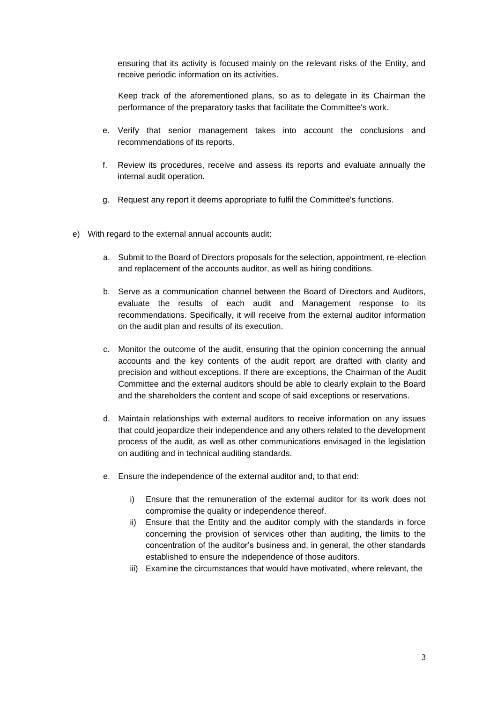ensuring that its activity is focused mainly on the relevant risks of the Entity, and receive periodic information on its activities.

Keep track of the aforementioned plans, so as to delegate in its Chairman the performance of the preparatory tasks that facilitate the Committee's work.

- e. Verify that senior management takes into account the conclusions and recommendations of its reports.
- f. Review its procedures, receive and assess its reports and evaluate annually the internal audit operation.
- g. Request any report it deems appropriate to fulfil the Committee's functions.
- e) With regard to the external annual accounts audit:
	- a. Submit to the Board of Directors proposals for the selection, appointment, re-election and replacement of the accounts auditor, as well as hiring conditions.
	- b. Serve as a communication channel between the Board of Directors and Auditors, evaluate the results of each audit and Management response to its recommendations. Specifically, it will receive from the external auditor information on the audit plan and results of its execution.
	- c. Monitor the outcome of the audit, ensuring that the opinion concerning the annual accounts and the key contents of the audit report are drafted with clarity and precision and without exceptions. If there are exceptions, the Chairman of the Audit Committee and the external auditors should be able to clearly explain to the Board and the shareholders the content and scope of said exceptions or reservations.
	- d. Maintain relationships with external auditors to receive information on any issues that could jeopardize their independence and any others related to the development process of the audit, as well as other communications envisaged in the legislation on auditing and in technical auditing standards.
	- e. Ensure the independence of the external auditor and, to that end:
		- i) Ensure that the remuneration of the external auditor for its work does not compromise the quality or independence thereof.
		- ii) Ensure that the Entity and the auditor comply with the standards in force concerning the provision of services other than auditing, the limits to the concentration of the auditor's business and, in general, the other standards established to ensure the independence of those auditors.
		- iii) Examine the circumstances that would have motivated, where relevant, the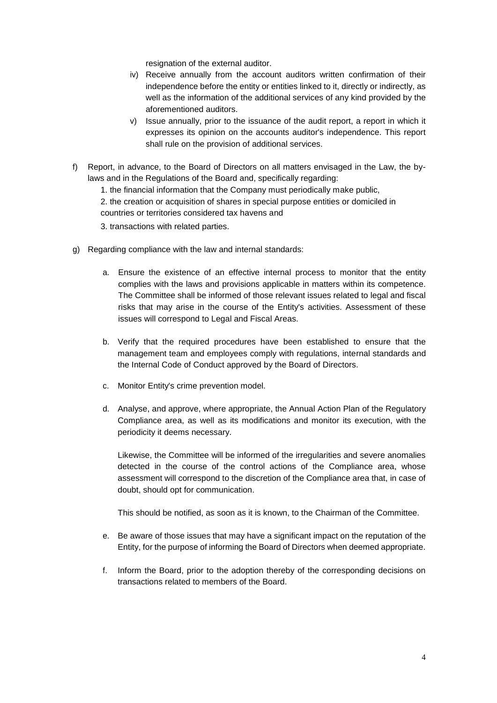resignation of the external auditor.

- iv) Receive annually from the account auditors written confirmation of their independence before the entity or entities linked to it, directly or indirectly, as well as the information of the additional services of any kind provided by the aforementioned auditors.
- v) Issue annually, prior to the issuance of the audit report, a report in which it expresses its opinion on the accounts auditor's independence. This report shall rule on the provision of additional services.
- f) Report, in advance, to the Board of Directors on all matters envisaged in the Law, the bylaws and in the Regulations of the Board and, specifically regarding:
	- 1. the financial information that the Company must periodically make public,

2. the creation or acquisition of shares in special purpose entities or domiciled in countries or territories considered tax havens and

- 3. transactions with related parties.
- g) Regarding compliance with the law and internal standards:
	- a. Ensure the existence of an effective internal process to monitor that the entity complies with the laws and provisions applicable in matters within its competence. The Committee shall be informed of those relevant issues related to legal and fiscal risks that may arise in the course of the Entity's activities. Assessment of these issues will correspond to Legal and Fiscal Areas.
	- b. Verify that the required procedures have been established to ensure that the management team and employees comply with regulations, internal standards and the Internal Code of Conduct approved by the Board of Directors.
	- c. Monitor Entity's crime prevention model.
	- d. Analyse, and approve, where appropriate, the Annual Action Plan of the Regulatory Compliance area, as well as its modifications and monitor its execution, with the periodicity it deems necessary.

Likewise, the Committee will be informed of the irregularities and severe anomalies detected in the course of the control actions of the Compliance area, whose assessment will correspond to the discretion of the Compliance area that, in case of doubt, should opt for communication.

This should be notified, as soon as it is known, to the Chairman of the Committee.

- e. Be aware of those issues that may have a significant impact on the reputation of the Entity, for the purpose of informing the Board of Directors when deemed appropriate.
- f. Inform the Board, prior to the adoption thereby of the corresponding decisions on transactions related to members of the Board.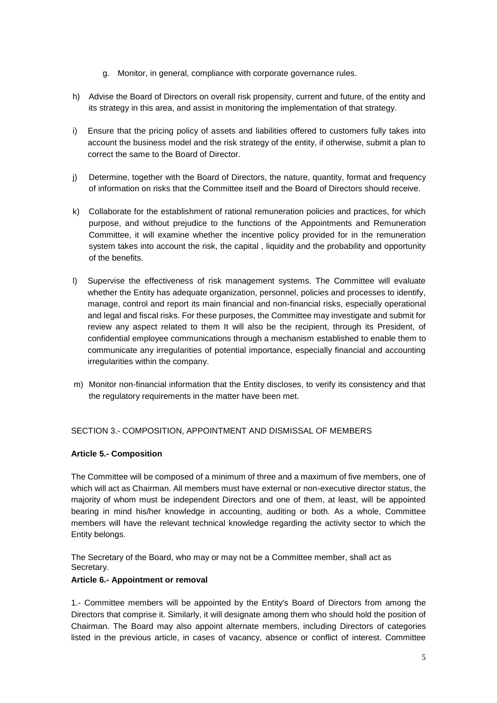- g. Monitor, in general, compliance with corporate governance rules.
- h) Advise the Board of Directors on overall risk propensity, current and future, of the entity and its strategy in this area, and assist in monitoring the implementation of that strategy.
- i) Ensure that the pricing policy of assets and liabilities offered to customers fully takes into account the business model and the risk strategy of the entity, if otherwise, submit a plan to correct the same to the Board of Director.
- j) Determine, together with the Board of Directors, the nature, quantity, format and frequency of information on risks that the Committee itself and the Board of Directors should receive.
- k) Collaborate for the establishment of rational remuneration policies and practices, for which purpose, and without prejudice to the functions of the Appointments and Remuneration Committee, it will examine whether the incentive policy provided for in the remuneration system takes into account the risk, the capital , liquidity and the probability and opportunity of the benefits.
- l) Supervise the effectiveness of risk management systems. The Committee will evaluate whether the Entity has adequate organization, personnel, policies and processes to identify, manage, control and report its main financial and non-financial risks, especially operational and legal and fiscal risks. For these purposes, the Committee may investigate and submit for review any aspect related to them It will also be the recipient, through its President, of confidential employee communications through a mechanism established to enable them to communicate any irregularities of potential importance, especially financial and accounting irregularities within the company.
- m) Monitor non-financial information that the Entity discloses, to verify its consistency and that the regulatory requirements in the matter have been met.

# SECTION 3.- COMPOSITION, APPOINTMENT AND DISMISSAL OF MEMBERS

#### **Article 5.- Composition**

The Committee will be composed of a minimum of three and a maximum of five members, one of which will act as Chairman. All members must have external or non-executive director status, the majority of whom must be independent Directors and one of them, at least, will be appointed bearing in mind his/her knowledge in accounting, auditing or both. As a whole, Committee members will have the relevant technical knowledge regarding the activity sector to which the Entity belongs.

The Secretary of the Board, who may or may not be a Committee member, shall act as Secretary.

#### **Article 6.- Appointment or removal**

1.- Committee members will be appointed by the Entity's Board of Directors from among the Directors that comprise it. Similarly, it will designate among them who should hold the position of Chairman. The Board may also appoint alternate members, including Directors of categories listed in the previous article, in cases of vacancy, absence or conflict of interest. Committee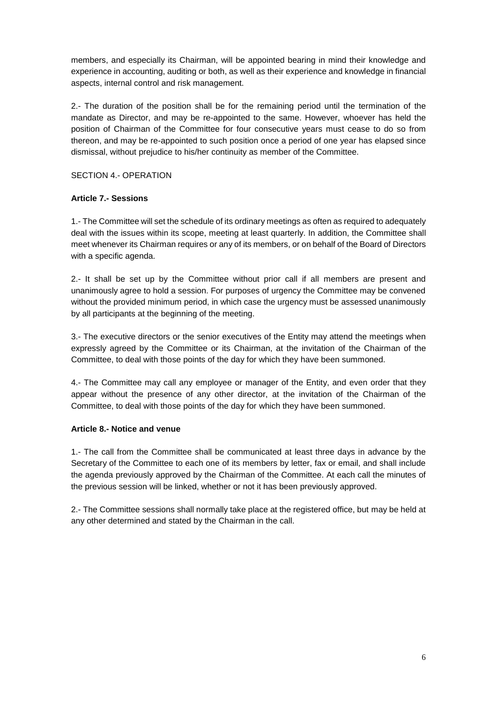members, and especially its Chairman, will be appointed bearing in mind their knowledge and experience in accounting, auditing or both, as well as their experience and knowledge in financial aspects, internal control and risk management.

2.- The duration of the position shall be for the remaining period until the termination of the mandate as Director, and may be re-appointed to the same. However, whoever has held the position of Chairman of the Committee for four consecutive years must cease to do so from thereon, and may be re-appointed to such position once a period of one year has elapsed since dismissal, without prejudice to his/her continuity as member of the Committee.

SECTION 4.- OPERATION

# **Article 7.- Sessions**

1.- The Committee will set the schedule of its ordinary meetings as often as required to adequately deal with the issues within its scope, meeting at least quarterly. In addition, the Committee shall meet whenever its Chairman requires or any of its members, or on behalf of the Board of Directors with a specific agenda.

2.- It shall be set up by the Committee without prior call if all members are present and unanimously agree to hold a session. For purposes of urgency the Committee may be convened without the provided minimum period, in which case the urgency must be assessed unanimously by all participants at the beginning of the meeting.

3.- The executive directors or the senior executives of the Entity may attend the meetings when expressly agreed by the Committee or its Chairman, at the invitation of the Chairman of the Committee, to deal with those points of the day for which they have been summoned.

4.- The Committee may call any employee or manager of the Entity, and even order that they appear without the presence of any other director, at the invitation of the Chairman of the Committee, to deal with those points of the day for which they have been summoned.

#### **Article 8.- Notice and venue**

1.- The call from the Committee shall be communicated at least three days in advance by the Secretary of the Committee to each one of its members by letter, fax or email, and shall include the agenda previously approved by the Chairman of the Committee. At each call the minutes of the previous session will be linked, whether or not it has been previously approved.

2.- The Committee sessions shall normally take place at the registered office, but may be held at any other determined and stated by the Chairman in the call.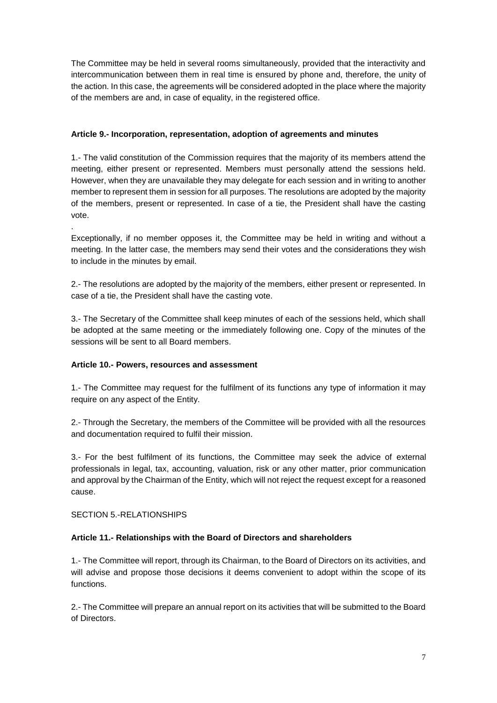The Committee may be held in several rooms simultaneously, provided that the interactivity and intercommunication between them in real time is ensured by phone and, therefore, the unity of the action. In this case, the agreements will be considered adopted in the place where the majority of the members are and, in case of equality, in the registered office.

# **Article 9.- Incorporation, representation, adoption of agreements and minutes**

1.- The valid constitution of the Commission requires that the majority of its members attend the meeting, either present or represented. Members must personally attend the sessions held. However, when they are unavailable they may delegate for each session and in writing to another member to represent them in session for all purposes. The resolutions are adopted by the majority of the members, present or represented. In case of a tie, the President shall have the casting vote.

Exceptionally, if no member opposes it, the Committee may be held in writing and without a meeting. In the latter case, the members may send their votes and the considerations they wish to include in the minutes by email.

2.- The resolutions are adopted by the majority of the members, either present or represented. In case of a tie, the President shall have the casting vote.

3.- The Secretary of the Committee shall keep minutes of each of the sessions held, which shall be adopted at the same meeting or the immediately following one. Copy of the minutes of the sessions will be sent to all Board members.

# **Article 10.- Powers, resources and assessment**

1.- The Committee may request for the fulfilment of its functions any type of information it may require on any aspect of the Entity.

2.- Through the Secretary, the members of the Committee will be provided with all the resources and documentation required to fulfil their mission.

3.- For the best fulfilment of its functions, the Committee may seek the advice of external professionals in legal, tax, accounting, valuation, risk or any other matter, prior communication and approval by the Chairman of the Entity, which will not reject the request except for a reasoned cause.

SECTION 5.-RELATIONSHIPS

.

# **Article 11.- Relationships with the Board of Directors and shareholders**

1.- The Committee will report, through its Chairman, to the Board of Directors on its activities, and will advise and propose those decisions it deems convenient to adopt within the scope of its functions.

2.- The Committee will prepare an annual report on its activities that will be submitted to the Board of Directors.